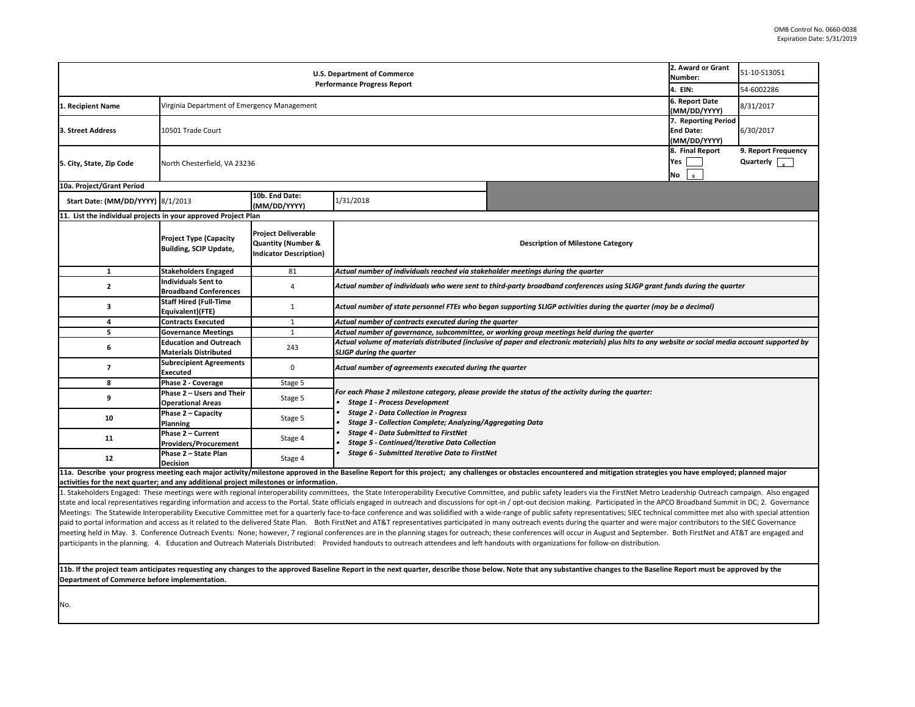**11b. If the project team anticipates requesting any changes to the approved Baseline Report in the next quarter, describe those below. Note that any substantive changes to the Baseline Report must be approved by the**  Department of Commerce before implementation.

|                                                                                                       | 2. Award or Grant              | 51-10-S13051                  |  |  |  |
|-------------------------------------------------------------------------------------------------------|--------------------------------|-------------------------------|--|--|--|
|                                                                                                       | <b>Number:</b>                 |                               |  |  |  |
|                                                                                                       | 4. EIN:                        | 54-6002286                    |  |  |  |
|                                                                                                       | 6. Report Date<br>(MM/DD/YYYY) | 8/31/2017                     |  |  |  |
|                                                                                                       | 7. Reporting Period            |                               |  |  |  |
|                                                                                                       | <b>End Date:</b>               | 6/30/2017                     |  |  |  |
|                                                                                                       | (MM/DD/YYYY)                   |                               |  |  |  |
|                                                                                                       | 8. Final Report                | 9. Report Frequency           |  |  |  |
|                                                                                                       | Yes                            | Quarterly $\int_{\mathbf{v}}$ |  |  |  |
|                                                                                                       | No                             |                               |  |  |  |
|                                                                                                       |                                |                               |  |  |  |
|                                                                                                       |                                |                               |  |  |  |
|                                                                                                       |                                |                               |  |  |  |
|                                                                                                       |                                |                               |  |  |  |
| <b>Description of Milestone Category</b>                                                              |                                |                               |  |  |  |
|                                                                                                       |                                |                               |  |  |  |
| cholder meetings during the quarter                                                                   |                                |                               |  |  |  |
|                                                                                                       |                                |                               |  |  |  |
| third-party broadband conferences using SLIGP grant funds during the quarter (                        |                                |                               |  |  |  |
| gan supporting SLIGP activities during the quarter (may be a decimal)                                 |                                |                               |  |  |  |
| e quarter                                                                                             |                                |                               |  |  |  |
| or working group meetings held during the quarter                                                     |                                |                               |  |  |  |
| ve of paper and electronic materials) plus hits to any website or social media account supported by   |                                |                               |  |  |  |
| the quarter                                                                                           |                                |                               |  |  |  |
| rovide the status of the activity during the quarter:                                                 |                                |                               |  |  |  |
|                                                                                                       |                                |                               |  |  |  |
|                                                                                                       |                                |                               |  |  |  |
| Aggregating Data                                                                                      |                                |                               |  |  |  |
| ion                                                                                                   |                                |                               |  |  |  |
| Net                                                                                                   |                                |                               |  |  |  |
|                                                                                                       |                                |                               |  |  |  |
| ges or obstacles encountered and mitigation strategies you have employed; planned major               |                                |                               |  |  |  |
| nittee, and public safety leaders via the FirstNet Metro Leadership Outreach campaign. Also engaged   |                                |                               |  |  |  |
| opt-in / opt-out decision making. Participated in the APCO Broadband Summit in DC; 2. Governance      |                                |                               |  |  |  |
| wide-range of public safety representatives; SIEC technical committee met also with special attention |                                |                               |  |  |  |
| n many outreach events during the quarter and were major contributors to the SIEC Governance          |                                |                               |  |  |  |
| h; these conferences will occur in August and September. Both FirstNet and AT&T are engaged and       |                                |                               |  |  |  |
| nandouts with organizations for follow-on distribution.                                               |                                |                               |  |  |  |
|                                                                                                       |                                |                               |  |  |  |
| elow. Note that any substantive changes to the Baseline Report must be approved by the                |                                |                               |  |  |  |
|                                                                                                       |                                |                               |  |  |  |
|                                                                                                       |                                |                               |  |  |  |

| <b>U.S. Department of Commerce</b><br><b>Performance Progress Report</b>                                                                                                                                                                                                                                                                                                                                                                                         |                                                                                                                                                                                         |                                                                                              |                                                                                                                                                                                       | 2. Award or Grant<br>Number:                                                                                                                                                                                                   | 51-10-S13051                                        |                                                       |  |  |
|------------------------------------------------------------------------------------------------------------------------------------------------------------------------------------------------------------------------------------------------------------------------------------------------------------------------------------------------------------------------------------------------------------------------------------------------------------------|-----------------------------------------------------------------------------------------------------------------------------------------------------------------------------------------|----------------------------------------------------------------------------------------------|---------------------------------------------------------------------------------------------------------------------------------------------------------------------------------------|--------------------------------------------------------------------------------------------------------------------------------------------------------------------------------------------------------------------------------|-----------------------------------------------------|-------------------------------------------------------|--|--|
|                                                                                                                                                                                                                                                                                                                                                                                                                                                                  |                                                                                                                                                                                         |                                                                                              |                                                                                                                                                                                       | 4. EIN:                                                                                                                                                                                                                        | 54-6002286                                          |                                                       |  |  |
| . Recipient Name                                                                                                                                                                                                                                                                                                                                                                                                                                                 | Virginia Department of Emergency Management                                                                                                                                             |                                                                                              |                                                                                                                                                                                       |                                                                                                                                                                                                                                | 6. Report Date<br>(MM/DD/YYYY)                      | 8/31/2017                                             |  |  |
| <b>3. Street Address</b>                                                                                                                                                                                                                                                                                                                                                                                                                                         | 10501 Trade Court                                                                                                                                                                       |                                                                                              |                                                                                                                                                                                       |                                                                                                                                                                                                                                |                                                     |                                                       |  |  |
| 5. City, State, Zip Code                                                                                                                                                                                                                                                                                                                                                                                                                                         | North Chesterfield, VA 23236                                                                                                                                                            |                                                                                              |                                                                                                                                                                                       |                                                                                                                                                                                                                                | 8. Final Report<br>Yes<br><b>No</b><br>$\mathbf{x}$ | 9. Report Frequency<br>Quarterly $\sqrt{\frac{1}{x}}$ |  |  |
| 10a. Project/Grant Period                                                                                                                                                                                                                                                                                                                                                                                                                                        |                                                                                                                                                                                         |                                                                                              |                                                                                                                                                                                       |                                                                                                                                                                                                                                |                                                     |                                                       |  |  |
| Start Date: (MM/DD/YYYY) 8/1/2013                                                                                                                                                                                                                                                                                                                                                                                                                                |                                                                                                                                                                                         | 10b. End Date:<br>(MM/DD/YYYY)                                                               | 1/31/2018                                                                                                                                                                             |                                                                                                                                                                                                                                |                                                     |                                                       |  |  |
| 11. List the individual projects in your approved Project Plan                                                                                                                                                                                                                                                                                                                                                                                                   |                                                                                                                                                                                         |                                                                                              |                                                                                                                                                                                       |                                                                                                                                                                                                                                |                                                     |                                                       |  |  |
|                                                                                                                                                                                                                                                                                                                                                                                                                                                                  | <b>Project Type (Capacity</b><br><b>Building, SCIP Update,</b>                                                                                                                          | <b>Project Deliverable</b><br><b>Quantity (Number &amp;</b><br><b>Indicator Description)</b> | <b>Description of Milestone Category</b>                                                                                                                                              |                                                                                                                                                                                                                                |                                                     |                                                       |  |  |
| -1                                                                                                                                                                                                                                                                                                                                                                                                                                                               | <b>Stakeholders Engaged</b>                                                                                                                                                             | 81                                                                                           | Actual number of individuals reached via stakeholder meetings during the quarter                                                                                                      |                                                                                                                                                                                                                                |                                                     |                                                       |  |  |
| $\overline{2}$                                                                                                                                                                                                                                                                                                                                                                                                                                                   | <b>Individuals Sent to</b><br><b>Broadband Conferences</b>                                                                                                                              |                                                                                              |                                                                                                                                                                                       | Actual number of individuals who were sent to third-party broadband conferences using SLIGP grant funds during the quarter                                                                                                     |                                                     |                                                       |  |  |
| 3                                                                                                                                                                                                                                                                                                                                                                                                                                                                | <b>Staff Hired (Full-Time</b><br>Equivalent)(FTE)                                                                                                                                       |                                                                                              | Actual number of state personnel FTEs who began supporting SLIGP activities during the quarter (may be a decimal)                                                                     |                                                                                                                                                                                                                                |                                                     |                                                       |  |  |
| 4                                                                                                                                                                                                                                                                                                                                                                                                                                                                | <b>Contracts Executed</b>                                                                                                                                                               |                                                                                              | Actual number of contracts executed during the quarter                                                                                                                                |                                                                                                                                                                                                                                |                                                     |                                                       |  |  |
| 5                                                                                                                                                                                                                                                                                                                                                                                                                                                                | <b>Governance Meetings</b>                                                                                                                                                              |                                                                                              | Actual number of governance, subcommittee, or working group meetings held during the quarter                                                                                          |                                                                                                                                                                                                                                |                                                     |                                                       |  |  |
| 6                                                                                                                                                                                                                                                                                                                                                                                                                                                                | <b>Education and Outreach</b><br><b>Materials Distributed</b>                                                                                                                           | 243                                                                                          | Actual volume of materials distributed (inclusive of paper and electronic materials) plus hits to any website or social media account supported by<br><b>SLIGP during the quarter</b> |                                                                                                                                                                                                                                |                                                     |                                                       |  |  |
|                                                                                                                                                                                                                                                                                                                                                                                                                                                                  | <b>Subrecipient Agreements</b><br><b>Executed</b>                                                                                                                                       |                                                                                              | Actual number of agreements executed during the quarter                                                                                                                               |                                                                                                                                                                                                                                |                                                     |                                                       |  |  |
| 8                                                                                                                                                                                                                                                                                                                                                                                                                                                                | <b>Phase 2 - Coverage</b>                                                                                                                                                               | Stage 5                                                                                      |                                                                                                                                                                                       |                                                                                                                                                                                                                                |                                                     |                                                       |  |  |
|                                                                                                                                                                                                                                                                                                                                                                                                                                                                  | Phase 2 - Users and Their<br><b>Operational Areas</b>                                                                                                                                   | Stage 5                                                                                      | For each Phase 2 milestone category, please provide the status of the activity during the quarter:<br><b>Stage 1 - Process Development</b>                                            |                                                                                                                                                                                                                                |                                                     |                                                       |  |  |
| 10                                                                                                                                                                                                                                                                                                                                                                                                                                                               | Phase 2 – Capacity<br><b>Planning</b>                                                                                                                                                   | Stage 5                                                                                      | <b>Stage 2 - Data Collection in Progress</b><br><b>Stage 3 - Collection Complete; Analyzing/Aggregating Data</b>                                                                      |                                                                                                                                                                                                                                |                                                     |                                                       |  |  |
| 11                                                                                                                                                                                                                                                                                                                                                                                                                                                               | Phase 2 - Current<br><b>Providers/Procurement</b>                                                                                                                                       | Stage 4                                                                                      | <b>Stage 4 - Data Submitted to FirstNet</b><br><b>Stage 5 - Continued/Iterative Data Collection</b><br><b>Stage 6 - Submitted Iterative Data to FirstNet</b>                          |                                                                                                                                                                                                                                |                                                     |                                                       |  |  |
| 12                                                                                                                                                                                                                                                                                                                                                                                                                                                               | Phase 2 - State Plan<br><b>Decision</b>                                                                                                                                                 | Stage 4                                                                                      |                                                                                                                                                                                       |                                                                                                                                                                                                                                |                                                     |                                                       |  |  |
|                                                                                                                                                                                                                                                                                                                                                                                                                                                                  |                                                                                                                                                                                         |                                                                                              |                                                                                                                                                                                       | 11a. Describe your progress meeting each major activity/milestone approved in the Baseline Report for this project; any challenges or obstacles encountered and mitigation strategies you have employed; planned major         |                                                     |                                                       |  |  |
| activities for the next quarter; and any additional project milestones or information.                                                                                                                                                                                                                                                                                                                                                                           |                                                                                                                                                                                         |                                                                                              |                                                                                                                                                                                       |                                                                                                                                                                                                                                |                                                     |                                                       |  |  |
|                                                                                                                                                                                                                                                                                                                                                                                                                                                                  |                                                                                                                                                                                         |                                                                                              |                                                                                                                                                                                       | L. Stakeholders Engaged: These meetings were with regional interoperability committees, the State Interoperability Executive Committee, and public safety leaders via the FirstNet Metro Leadership Outreach campaign. Also en |                                                     |                                                       |  |  |
| state and local representatives regarding information and access to the Portal. State officials engaged in outreach and discussions for opt-in / opt-out decision making. Participated in the APCO Broadband Summit in DC; 2.                                                                                                                                                                                                                                    |                                                                                                                                                                                         |                                                                                              |                                                                                                                                                                                       |                                                                                                                                                                                                                                |                                                     |                                                       |  |  |
| Meetings: The Statewide Interoperability Executive Committee met for a quarterly face-to-face conference and was solidified with a wide-range of public safety representatives; SIEC technical committee met also with special<br>paid to portal information and access as it related to the delivered State Plan. Both FirstNet and AT&T representatives participated in many outreach events during the quarter and were major contributors to the SIEC Govern |                                                                                                                                                                                         |                                                                                              |                                                                                                                                                                                       |                                                                                                                                                                                                                                |                                                     |                                                       |  |  |
|                                                                                                                                                                                                                                                                                                                                                                                                                                                                  |                                                                                                                                                                                         |                                                                                              |                                                                                                                                                                                       |                                                                                                                                                                                                                                |                                                     |                                                       |  |  |
|                                                                                                                                                                                                                                                                                                                                                                                                                                                                  |                                                                                                                                                                                         |                                                                                              |                                                                                                                                                                                       | meeting held in May. 3. Conference Outreach Events: None; however, 7 regional conferences are in the planning stages for outreach; these conferences will occur in August and September. Both FirstNet and AT&T are engaged an |                                                     |                                                       |  |  |
|                                                                                                                                                                                                                                                                                                                                                                                                                                                                  | participants in the planning. 4. Education and Outreach Materials Distributed: Provided handouts to outreach attendees and left handouts with organizations for follow-on distribution. |                                                                                              |                                                                                                                                                                                       |                                                                                                                                                                                                                                |                                                     |                                                       |  |  |

 $\overline{\phantom{a}}$ 

I~ -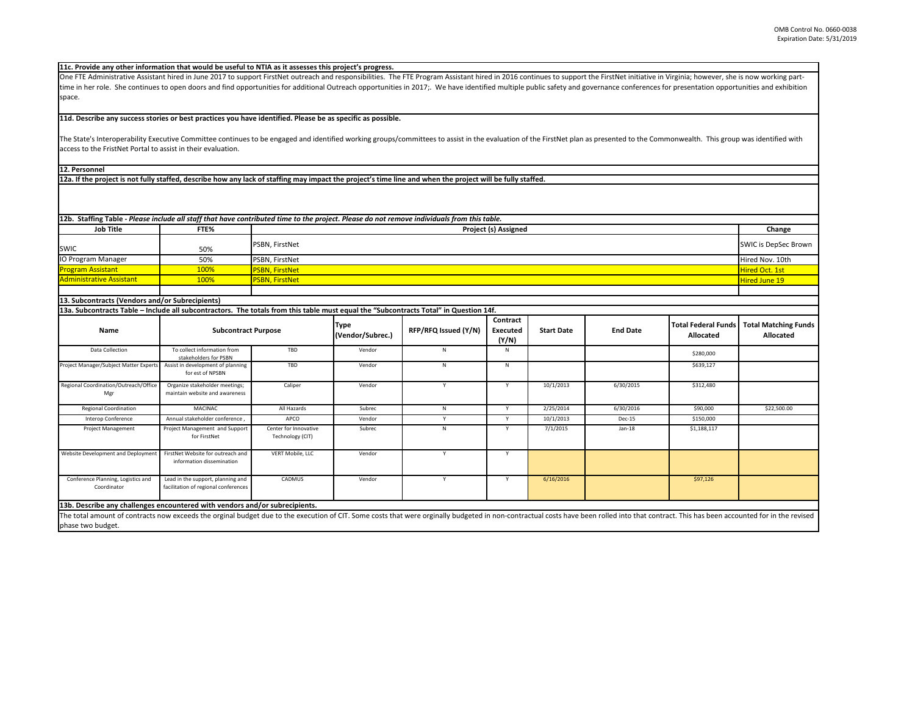The State's Interoperability Executive Committee continues to be engaged and identified working groups/committees to assist in the evaluation of the FirstNet plan as access to the FristNet Portal to assist in their evaluation.

One FTE Administrative Assistant hired in June 2017 to support FirstNet outreach and responsibilities. The FTE Program Assistant hired in 2016 continues to support th time in her role. She continues to open doors and find opportunities for additional Outreach opportunities in 2017;. We have identified multiple public safety and gov space.

The total amount of contracts now exceeds the orginal budget due to the execution of CIT. Some costs that were orginally budgeted in non-contractual costs have been rolled into that contract. This has been accounted for in **13b. Describe any challenges encountered with vendors and/or subrecipients.** 

## **11d. Describe any success stories or best practices you have identified. Please be as specific as possible.**

|                                 |      | 12b. Staffing Table - Please include all staff that have contributed time to the project. Please do not remove individuals from this table. |                             |
|---------------------------------|------|---------------------------------------------------------------------------------------------------------------------------------------------|-----------------------------|
| <b>Job Title</b>                | FTE% | <b>Project (s) Assigned</b>                                                                                                                 | Change                      |
| <b>SWIC</b>                     | 50%  | <b>PSBN, FirstNet</b>                                                                                                                       | <b>SWIC is DepSec Brown</b> |
| <b>IO Program Manager</b>       | 50%  | <b>PSBN, FirstNet</b>                                                                                                                       | Hired Nov. 10th             |
| <b>Program Assistant</b>        | 100% | <b>PSBN, FirstNet</b>                                                                                                                       | Hired Oct. 1st              |
| <b>Administrative Assistant</b> | 100% | <b>PSBN, FirstNet</b>                                                                                                                       | Hired June 19               |
|                                 |      |                                                                                                                                             |                             |

| <b>Name</b>                                                               | <b>Subcontract Purpose</b>                                                |                                           | <b>Type</b><br>(Vendor/Subrec.) | RFP/RFQ Issued (Y/N) | Contract<br><b>Executed</b><br>(Y/N) | <b>Start Date</b> | <b>End Date</b> | <b>Total Federal Funds</b><br><b>Allocated</b> | <b>Total Matching</b><br>Allocate |
|---------------------------------------------------------------------------|---------------------------------------------------------------------------|-------------------------------------------|---------------------------------|----------------------|--------------------------------------|-------------------|-----------------|------------------------------------------------|-----------------------------------|
| Data Collection                                                           | To collect information from<br>stakeholders for PSBN                      | TBD                                       | Vendor                          | N                    | N                                    |                   |                 | \$280,000                                      |                                   |
| Project Manager/Subject Matter Experts                                    | Assist in development of planning<br>for est of NPSBN                     | TBD                                       | Vendor                          | N                    | N                                    |                   |                 | \$639,127                                      |                                   |
| Regional Coordination/Outreach/Office<br>Mgr                              | Organize stakeholder meetings;<br>maintain website and awareness          | Caliper                                   | Vendor                          |                      |                                      | 10/1/2013         | 6/30/2015       | \$312,480                                      |                                   |
| <b>Regional Coordination</b>                                              | MACINAC                                                                   | All Hazards                               | Subrec                          | N                    |                                      | 2/25/2014         | 6/30/2016       | \$90,000                                       | \$22,500.00                       |
| Interop Conference                                                        | Annual stakeholder conference,                                            | APCO                                      | Vendor                          |                      |                                      | 10/1/2013         | Dec-15          | \$150,000                                      |                                   |
| Project Management                                                        | Project Management and Support<br>for FirstNet                            | Center for Innovative<br>Technology (CIT) | Subrec                          | N                    |                                      | 7/1/2015          | $Jan-18$        | \$1,188,117                                    |                                   |
| Website Development and Deployment                                        | FirstNet Website for outreach and<br>information dissemination            | VERT Mobile, LLC                          | Vendor                          |                      |                                      |                   |                 |                                                |                                   |
| Conference Planning, Logistics and<br>Coordinator                         | Lead in the support, planning and<br>facilitation of regional conferences | CADMUS                                    | Vendor                          |                      |                                      | 6/16/2016         |                 | \$97,126                                       |                                   |
| 13h Describe any challenges encountered with vendors and/or subrecipients |                                                                           |                                           |                                 |                      |                                      |                   |                 |                                                |                                   |

**11c. Provide any other information that would be useful to NTIA as it assesses this project's progress.** 

**12a. If the project is not fully staffed, describe how any lack of staffing may impact the project's time line and when the project will be fully staffed.**

## **12. Personnel**

| he FirstNet initiative in Virginia; however, she is now working part-<br>vernance conferences for presentation opportunities and exhibition |                                                |                                                 |
|---------------------------------------------------------------------------------------------------------------------------------------------|------------------------------------------------|-------------------------------------------------|
| s presented to the Commonwealth. This group was identified with                                                                             |                                                |                                                 |
|                                                                                                                                             |                                                |                                                 |
|                                                                                                                                             |                                                |                                                 |
|                                                                                                                                             |                                                | Change                                          |
|                                                                                                                                             |                                                | <b>SWIC is DepSec Brown</b>                     |
|                                                                                                                                             |                                                | Hired Nov. 10th                                 |
|                                                                                                                                             |                                                | Hired Oct. 1st                                  |
|                                                                                                                                             |                                                | <b>Hired June 19</b>                            |
|                                                                                                                                             |                                                |                                                 |
|                                                                                                                                             |                                                |                                                 |
| <b>End Date</b>                                                                                                                             | <b>Total Federal Funds</b><br><b>Allocated</b> | <b>Total Matching Funds</b><br><b>Allocated</b> |
|                                                                                                                                             | \$280,000                                      |                                                 |
|                                                                                                                                             | \$639,127                                      |                                                 |
| 6/30/2015                                                                                                                                   | \$312,480                                      |                                                 |
| 6/30/2016                                                                                                                                   | \$90,000                                       | \$22,500.00                                     |
| <b>Dec-15</b>                                                                                                                               | \$150,000                                      |                                                 |
| $Jan-18$                                                                                                                                    | \$1,188,117                                    |                                                 |
|                                                                                                                                             |                                                |                                                 |
|                                                                                                                                             | \$97,126                                       |                                                 |

phase two budget.

## **13. Subcontracts (Vendors and/or Subrecipients)**

**13a. Subcontracts Table – Include all subcontractors. The totals from this table must equal the "Subcontracts Total" in Question 14f.**